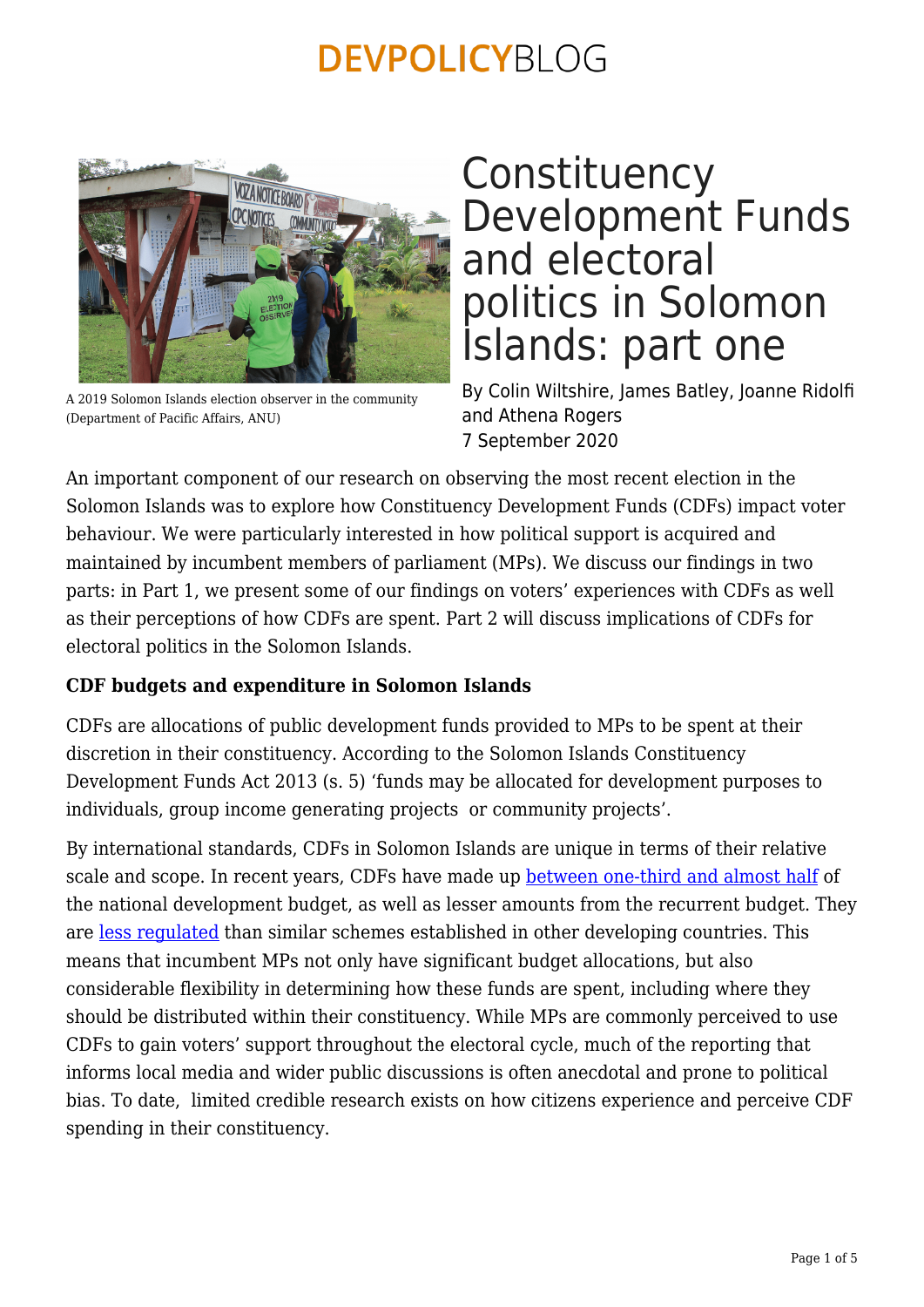

A 2019 Solomon Islands election observer in the community (Department of Pacific Affairs, ANU)

### **Constituency** Development Funds and electoral politics in Solomon Islands: part one

By Colin Wiltshire, James Batley, Joanne Ridolfi and Athena Rogers 7 September 2020

An important component of our research on observing the most recent election in the Solomon Islands was to explore how Constituency Development Funds (CDFs) impact voter behaviour. We were particularly interested in how political support is acquired and maintained by incumbent members of parliament (MPs). We discuss our findings in two parts: in Part 1, we present some of our findings on voters' experiences with CDFs as well as their perceptions of how CDFs are spent. Part 2 will discuss implications of CDFs for electoral politics in the Solomon Islands.

### **CDF budgets and expenditure in Solomon Islands**

CDFs are allocations of public development funds provided to MPs to be spent at their discretion in their constituency. According to the Solomon Islands Constituency Development Funds Act 2013 (s. 5) 'funds may be allocated for development purposes to individuals, group income generating projects or community projects'.

By international standards, CDFs in Solomon Islands are unique in terms of their relative scale and scope. In recent years, CDFs have made up [between one-third and almost half](http://dpa.bellschool.anu.edu.au/sites/default/files/publications/attachments/2018-02/ib2018_4_wiltshire_and_batley.pdf) of the national development budget, as well as lesser amounts from the recurrent budget. They are [less regulated](http://dpa.bellschool.anu.edu.au/sites/default/files/publications/attachments/2018-12/ib_201826_barbara_final.pdf) than similar schemes established in other developing countries. This means that incumbent MPs not only have significant budget allocations, but also considerable flexibility in determining how these funds are spent, including where they should be distributed within their constituency. While MPs are commonly perceived to use CDFs to gain voters' support throughout the electoral cycle, much of the reporting that informs local media and wider public discussions is often anecdotal and prone to political bias. To date, limited credible research exists on how citizens experience and perceive CDF spending in their constituency.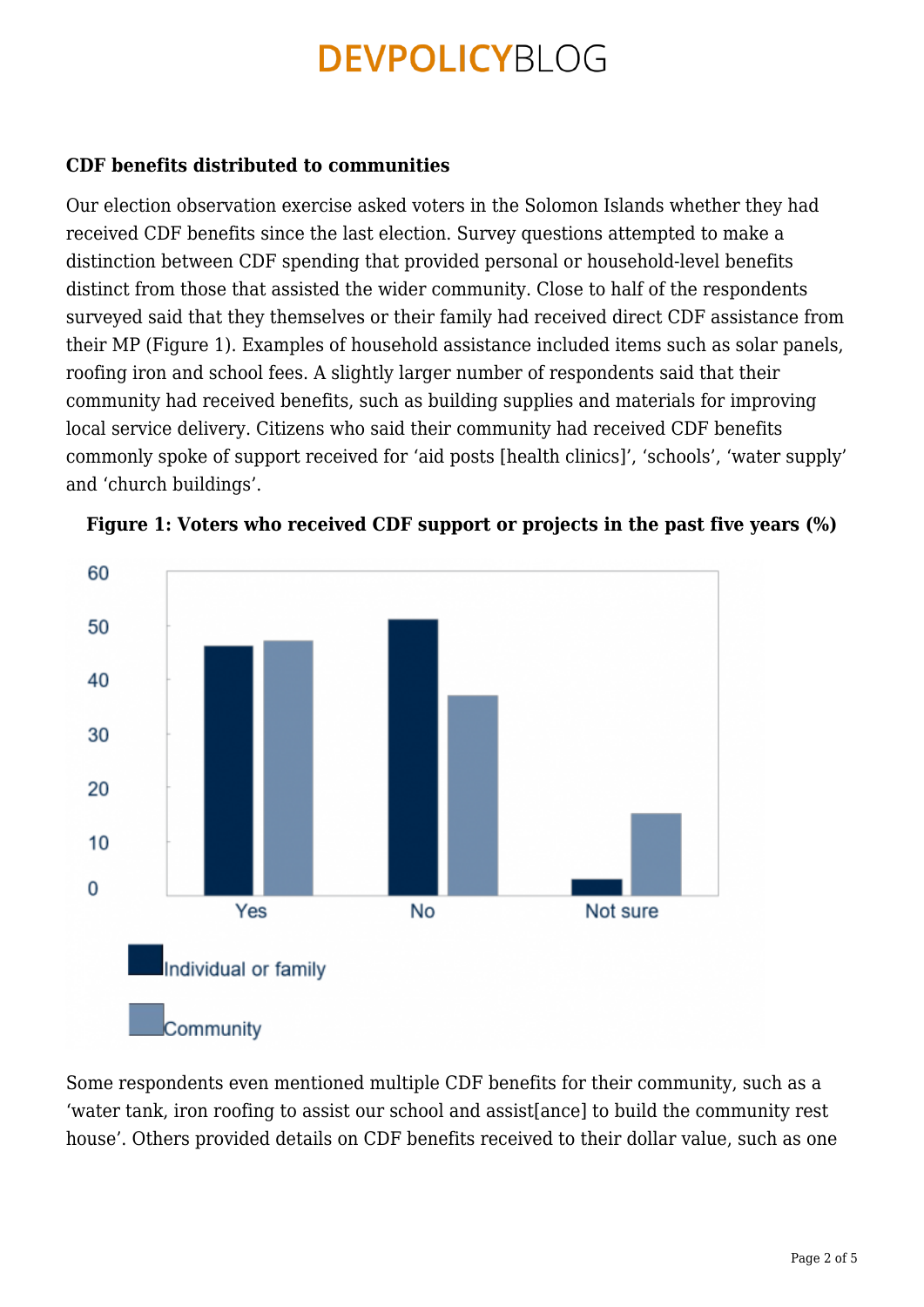#### **CDF benefits distributed to communities**

Our election observation exercise asked voters in the Solomon Islands whether they had received CDF benefits since the last election. Survey questions attempted to make a distinction between CDF spending that provided personal or household-level benefits distinct from those that assisted the wider community. Close to half of the respondents surveyed said that they themselves or their family had received direct CDF assistance from their MP (Figure 1). Examples of household assistance included items such as solar panels, roofing iron and school fees. A slightly larger number of respondents said that their community had received benefits, such as building supplies and materials for improving local service delivery. Citizens who said their community had received CDF benefits commonly spoke of support received for 'aid posts [health clinics]', 'schools', 'water supply' and 'church buildings'.





Some respondents even mentioned multiple CDF benefits for their community, such as a 'water tank, iron roofing to assist our school and assist[ance] to build the community rest house'. Others provided details on CDF benefits received to their dollar value, such as one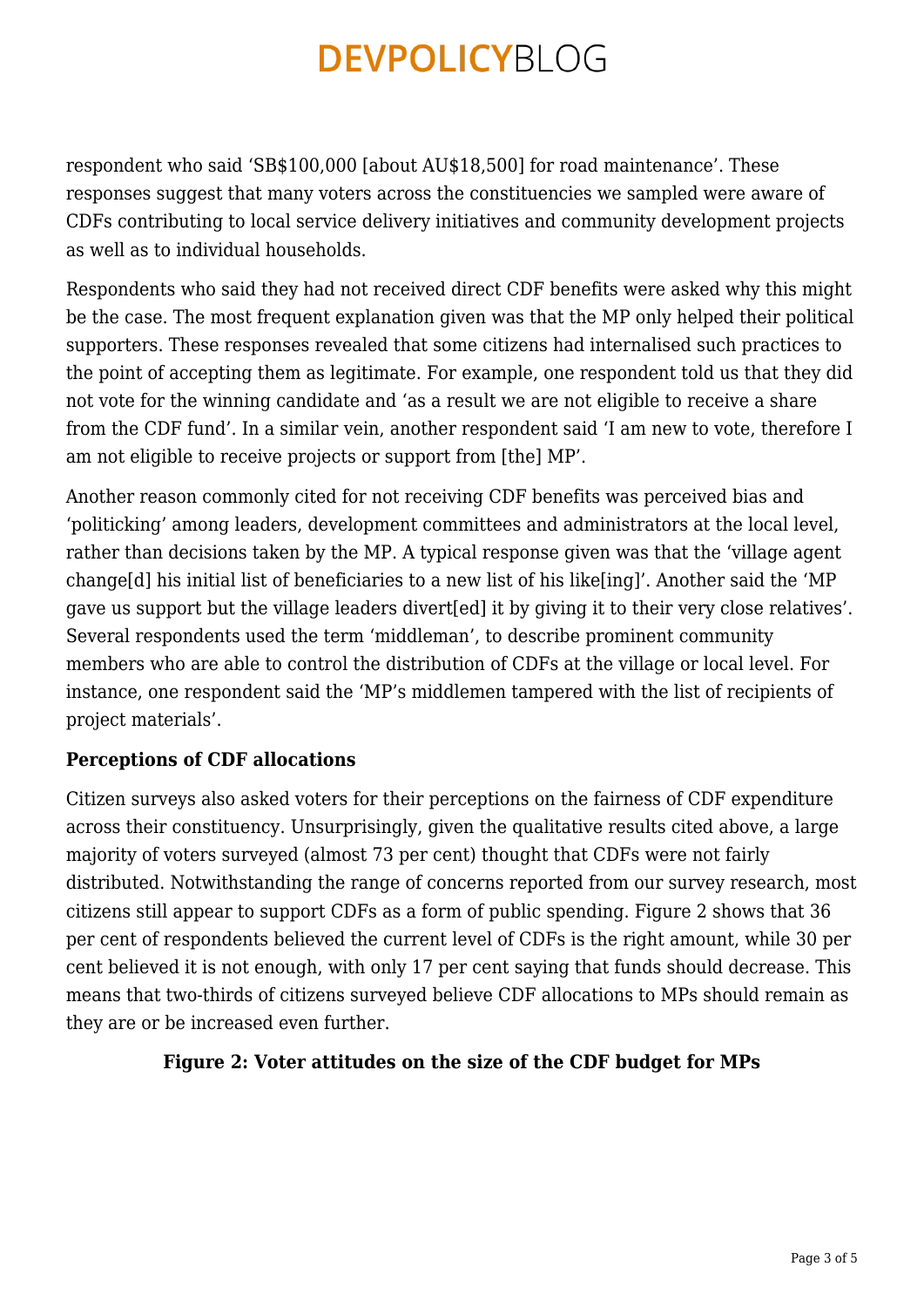respondent who said 'SB\$100,000 [about AU\$18,500] for road maintenance'. These responses suggest that many voters across the constituencies we sampled were aware of CDFs contributing to local service delivery initiatives and community development projects as well as to individual households.

Respondents who said they had not received direct CDF benefits were asked why this might be the case. The most frequent explanation given was that the MP only helped their political supporters. These responses revealed that some citizens had internalised such practices to the point of accepting them as legitimate. For example, one respondent told us that they did not vote for the winning candidate and 'as a result we are not eligible to receive a share from the CDF fund'. In a similar vein, another respondent said 'I am new to vote, therefore I am not eligible to receive projects or support from [the] MP'.

Another reason commonly cited for not receiving CDF benefits was perceived bias and 'politicking' among leaders, development committees and administrators at the local level, rather than decisions taken by the MP. A typical response given was that the 'village agent change[d] his initial list of beneficiaries to a new list of his like[ing]'. Another said the 'MP gave us support but the village leaders divert[ed] it by giving it to their very close relatives'. Several respondents used the term 'middleman', to describe prominent community members who are able to control the distribution of CDFs at the village or local level. For instance, one respondent said the 'MP's middlemen tampered with the list of recipients of project materials'.

### **Perceptions of CDF allocations**

Citizen surveys also asked voters for their perceptions on the fairness of CDF expenditure across their constituency. Unsurprisingly, given the qualitative results cited above, a large majority of voters surveyed (almost 73 per cent) thought that CDFs were not fairly distributed. Notwithstanding the range of concerns reported from our survey research, most citizens still appear to support CDFs as a form of public spending. Figure 2 shows that 36 per cent of respondents believed the current level of CDFs is the right amount, while 30 per cent believed it is not enough, with only 17 per cent saying that funds should decrease. This means that two-thirds of citizens surveyed believe CDF allocations to MPs should remain as they are or be increased even further.

#### **Figure 2: Voter attitudes on the size of the CDF budget for MPs**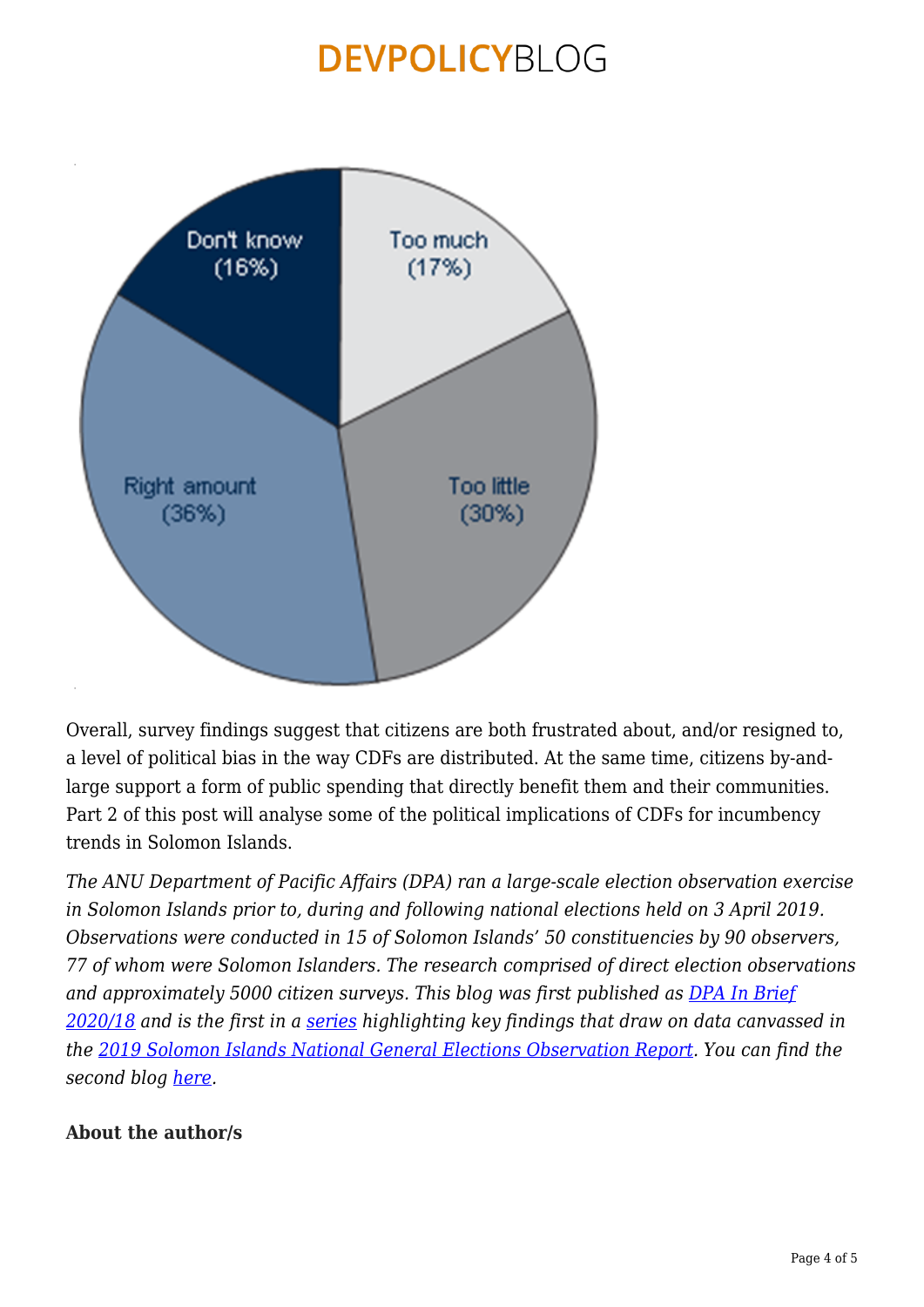

Overall, survey findings suggest that citizens are both frustrated about, and/or resigned to, a level of political bias in the way CDFs are distributed. At the same time, citizens by-andlarge support a form of public spending that directly benefit them and their communities. Part 2 of this post will analyse some of the political implications of CDFs for incumbency trends in Solomon Islands.

*The ANU Department of Pacific Affairs (DPA) ran a large-scale election observation exercise in Solomon Islands prior to, during and following national elections held on 3 April 2019. Observations were conducted in 15 of Solomon Islands' 50 constituencies by 90 observers, 77 of whom were Solomon Islanders. The research comprised of direct election observations and approximately 5000 citizen surveys. This blog was first published as [DPA In Brief](http://dpa.bellschool.anu.edu.au/experts-publications/publications/7596/ib-202018-constituency-development-funds-and-electoral) [2020/18](http://dpa.bellschool.anu.edu.au/experts-publications/publications/7596/ib-202018-constituency-development-funds-and-electoral) and is the first in a [series](https://devpolicy.org/tag/2019-solomon-islands-national-general-election-observation-report/) highlighting key findings that draw on data canvassed in the [2019 Solomon Islands National General Elections Observation Report.](http://dpa.bellschool.anu.edu.au/sites/default/files/uploads/2020-01/anu-election-report-2019_final_print_version.pdf) You can find the second blog [here](https://devpolicy.org/constituency-development-funds-and-electoral-politics-in-solomon-islands-part-two-20200910/).*

### **About the author/s**